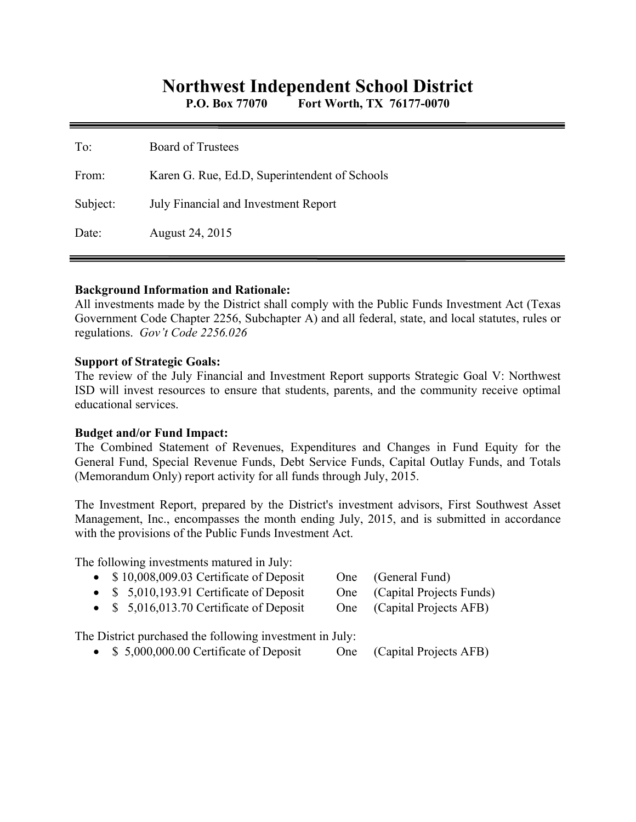# **Northwest Independent School District**

**P.O. Box 77070 Fort Worth, TX 76177-0070** 

| To:      | <b>Board of Trustees</b>                      |
|----------|-----------------------------------------------|
| From:    | Karen G. Rue, Ed.D, Superintendent of Schools |
| Subject: | July Financial and Investment Report          |
| Date:    | August 24, 2015                               |

#### **Background Information and Rationale:**

All investments made by the District shall comply with the Public Funds Investment Act (Texas Government Code Chapter 2256, Subchapter A) and all federal, state, and local statutes, rules or regulations. *Gov't Code 2256.026* 

#### **Support of Strategic Goals:**

The review of the July Financial and Investment Report supports Strategic Goal V: Northwest ISD will invest resources to ensure that students, parents, and the community receive optimal educational services.

#### **Budget and/or Fund Impact:**

The Combined Statement of Revenues, Expenditures and Changes in Fund Equity for the General Fund, Special Revenue Funds, Debt Service Funds, Capital Outlay Funds, and Totals (Memorandum Only) report activity for all funds through July, 2015.

The Investment Report, prepared by the District's investment advisors, First Southwest Asset Management, Inc., encompasses the month ending July, 2015, and is submitted in accordance with the provisions of the Public Funds Investment Act.

The following investments matured in July:

- \$10,008,009.03 Certificate of Deposit One (General Fund)
- \$ 5,010,193.91 Certificate of Deposit One (Capital Projects Funds)
- 
- \$ 5,016,013.70 Certificate of Deposit One (Capital Projects AFB)

The District purchased the following investment in July:

• \$ 5,000,000.00 Certificate of Deposit One (Capital Projects AFB)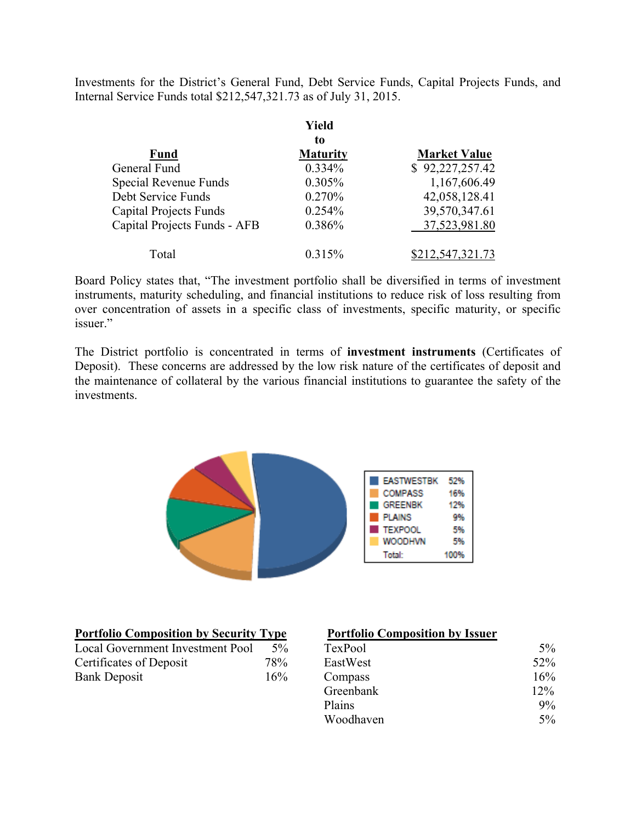Investments for the District's General Fund, Debt Service Funds, Capital Projects Funds, and Internal Service Funds total \$212,547,321.73 as of July 31, 2015.

|                               | Yield           |                     |
|-------------------------------|-----------------|---------------------|
|                               | to              |                     |
| <b>Fund</b>                   | <b>Maturity</b> | <b>Market Value</b> |
| General Fund                  | 0.334%          | \$92,227,257.42     |
| Special Revenue Funds         | 0.305%          | 1,167,606.49        |
| Debt Service Funds            | 0.270%          | 42,058,128.41       |
| <b>Capital Projects Funds</b> | 0.254%          | 39,570,347.61       |
| Capital Projects Funds - AFB  | 0.386%          | 37,523,981.80       |
| Total                         | 0.315%          | \$212,547,321.73    |

Board Policy states that, "The investment portfolio shall be diversified in terms of investment instruments, maturity scheduling, and financial institutions to reduce risk of loss resulting from over concentration of assets in a specific class of investments, specific maturity, or specific issuer."

The District portfolio is concentrated in terms of **investment instruments** (Certificates of Deposit). These concerns are addressed by the low risk nature of the certificates of deposit and the maintenance of collateral by the various financial institutions to guarantee the safety of the investments.



| <b>Portfolio Composition by Security Type</b> |       | <b>Portfolio Composition by Issuer</b> |       |  |
|-----------------------------------------------|-------|----------------------------------------|-------|--|
| Local Government Investment Pool              | $5\%$ | TexPool                                | $5\%$ |  |
| Certificates of Deposit                       | 78%   | EastWest                               | 52%   |  |
| <b>Bank Deposit</b>                           | 16%   | Compass                                | 16%   |  |
|                                               |       | Greenhank                              | 120%  |  |

## **Portfolio Composition by Issuer**

| Local Government Investment Pool | $5\%$ | TexPool   | $5\%$ |
|----------------------------------|-------|-----------|-------|
| Certificates of Deposit          | 78%   | EastWest  | 52%   |
| Bank Deposit                     | 16%   | Compass   | 16%   |
|                                  |       | Greenbank | 12%   |
|                                  |       | Plains    | $9\%$ |
|                                  |       | Woodhaven | $5\%$ |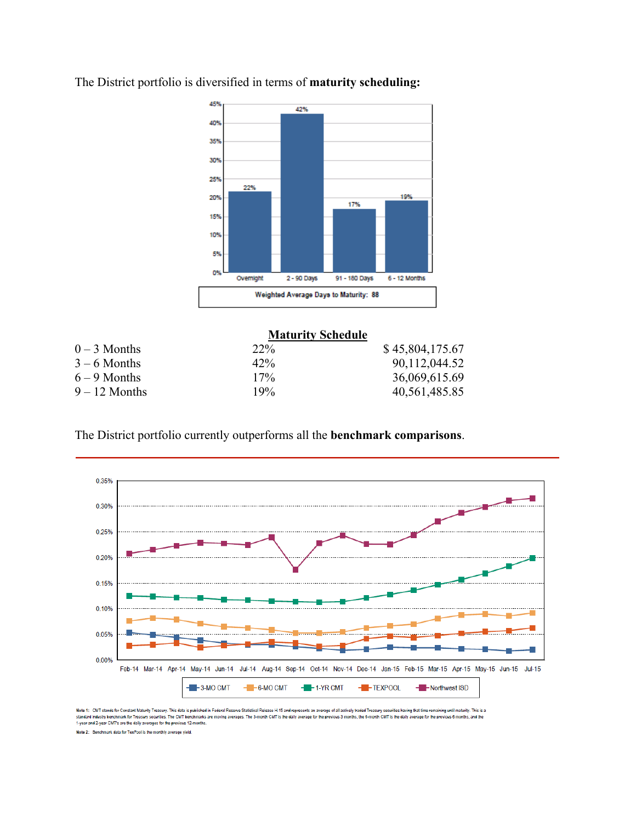

The District portfolio is diversified in terms of **maturity scheduling:**

|                 | <b>Maturity Schedule</b> |                 |
|-----------------|--------------------------|-----------------|
| $0 - 3$ Months  | $22\%$                   | \$45,804,175.67 |
| $3 - 6$ Months  | 42%                      | 90,112,044.52   |
| $6 - 9$ Months  | $17\%$                   | 36,069,615.69   |
| $9 - 12$ Months | 19%                      | 40,561,485.85   |

The District portfolio currently outperforms all the **benchmark comparisons**.



Note 1: CMT stands for Constant Maturity Treasury. This data is published in Federal Re: al Release H.15 and re age of all actively traded Treasury s ng until maturity. This is a ng that time re standard industry benchmark for Treasury securities. The CMT benchmarks are moving averages. The 3-month CMT is the daily average for the<br>1-year and 2-year CMT's are the daily averages for the previous 12-months. .<br>vious 3 months, the 6-month CMT is the daily average for the previous 6 months, and the

Note 2: Benchmark data for TexPool is the monthly average yield.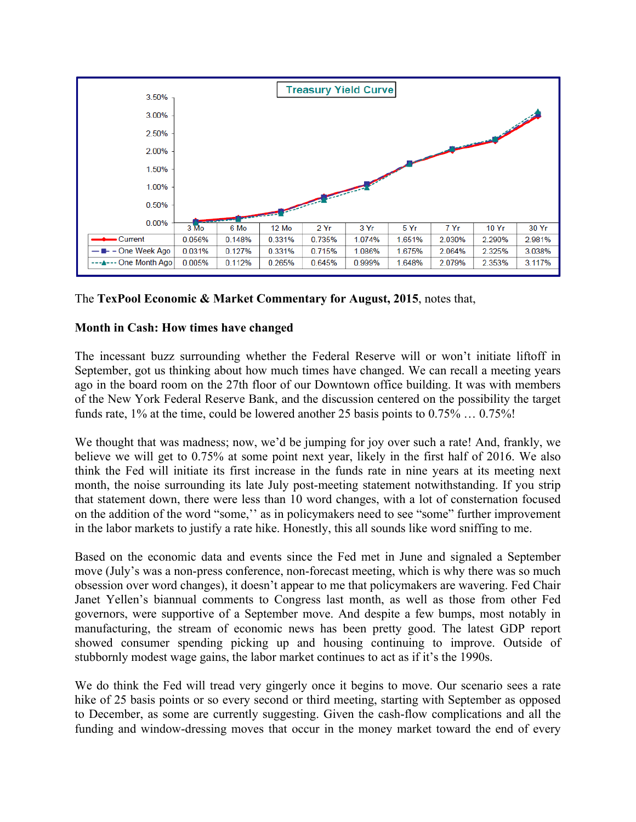

## The **TexPool Economic & Market Commentary for August, 2015**, notes that,

## **Month in Cash: How times have changed**

The incessant buzz surrounding whether the Federal Reserve will or won't initiate liftoff in September, got us thinking about how much times have changed. We can recall a meeting years ago in the board room on the 27th floor of our Downtown office building. It was with members of the New York Federal Reserve Bank, and the discussion centered on the possibility the target funds rate, 1% at the time, could be lowered another 25 basis points to 0.75% … 0.75%!

We thought that was madness; now, we'd be jumping for joy over such a rate! And, frankly, we believe we will get to 0.75% at some point next year, likely in the first half of 2016. We also think the Fed will initiate its first increase in the funds rate in nine years at its meeting next month, the noise surrounding its late July post-meeting statement notwithstanding. If you strip that statement down, there were less than 10 word changes, with a lot of consternation focused on the addition of the word "some,'' as in policymakers need to see "some" further improvement in the labor markets to justify a rate hike. Honestly, this all sounds like word sniffing to me.

Based on the economic data and events since the Fed met in June and signaled a September move (July's was a non-press conference, non-forecast meeting, which is why there was so much obsession over word changes), it doesn't appear to me that policymakers are wavering. Fed Chair Janet Yellen's biannual comments to Congress last month, as well as those from other Fed governors, were supportive of a September move. And despite a few bumps, most notably in manufacturing, the stream of economic news has been pretty good. The latest GDP report showed consumer spending picking up and housing continuing to improve. Outside of stubbornly modest wage gains, the labor market continues to act as if it's the 1990s.

We do think the Fed will tread very gingerly once it begins to move. Our scenario sees a rate hike of 25 basis points or so every second or third meeting, starting with September as opposed to December, as some are currently suggesting. Given the cash-flow complications and all the funding and window-dressing moves that occur in the money market toward the end of every